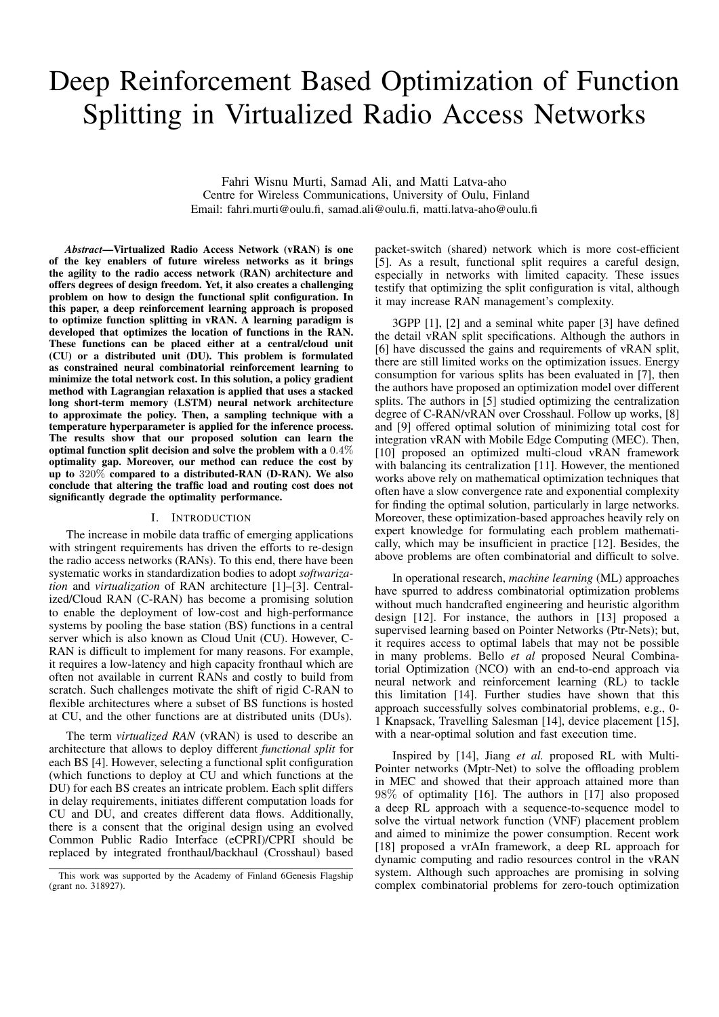# Deep Reinforcement Based Optimization of Function Splitting in Virtualized Radio Access Networks

Fahri Wisnu Murti, Samad Ali, and Matti Latva-aho Centre for Wireless Communications, University of Oulu, Finland Email: fahri.murti@oulu.fi, samad.ali@oulu.fi, matti.latva-aho@oulu.fi

*Abstract*—Virtualized Radio Access Network (vRAN) is one of the key enablers of future wireless networks as it brings the agility to the radio access network (RAN) architecture and offers degrees of design freedom. Yet, it also creates a challenging problem on how to design the functional split configuration. In this paper, a deep reinforcement learning approach is proposed to optimize function splitting in vRAN. A learning paradigm is developed that optimizes the location of functions in the RAN. These functions can be placed either at a central/cloud unit (CU) or a distributed unit (DU). This problem is formulated as constrained neural combinatorial reinforcement learning to minimize the total network cost. In this solution, a policy gradient method with Lagrangian relaxation is applied that uses a stacked long short-term memory (LSTM) neural network architecture to approximate the policy. Then, a sampling technique with a temperature hyperparameter is applied for the inference process. The results show that our proposed solution can learn the optimal function split decision and solve the problem with a 0.4% optimality gap. Moreover, our method can reduce the cost by up to 320% compared to a distributed-RAN (D-RAN). We also conclude that altering the traffic load and routing cost does not significantly degrade the optimality performance.

### I. INTRODUCTION

The increase in mobile data traffic of emerging applications with stringent requirements has driven the efforts to re-design the radio access networks (RANs). To this end, there have been systematic works in standardization bodies to adopt *softwarization* and *virtualization* of RAN architecture [1]–[3]. Centralized/Cloud RAN (C-RAN) has become a promising solution to enable the deployment of low-cost and high-performance systems by pooling the base station (BS) functions in a central server which is also known as Cloud Unit (CU). However, C-RAN is difficult to implement for many reasons. For example, it requires a low-latency and high capacity fronthaul which are often not available in current RANs and costly to build from scratch. Such challenges motivate the shift of rigid C-RAN to flexible architectures where a subset of BS functions is hosted at CU, and the other functions are at distributed units (DUs).

The term *virtualized RAN* (vRAN) is used to describe an architecture that allows to deploy different *functional split* for each BS [4]. However, selecting a functional split configuration (which functions to deploy at CU and which functions at the DU) for each BS creates an intricate problem. Each split differs in delay requirements, initiates different computation loads for CU and DU, and creates different data flows. Additionally, there is a consent that the original design using an evolved Common Public Radio Interface (eCPRI)/CPRI should be replaced by integrated fronthaul/backhaul (Crosshaul) based packet-switch (shared) network which is more cost-efficient [5]. As a result, functional split requires a careful design, especially in networks with limited capacity. These issues testify that optimizing the split configuration is vital, although it may increase RAN management's complexity.

3GPP [1], [2] and a seminal white paper [3] have defined the detail vRAN split specifications. Although the authors in [6] have discussed the gains and requirements of vRAN split, there are still limited works on the optimization issues. Energy consumption for various splits has been evaluated in [7], then the authors have proposed an optimization model over different splits. The authors in [5] studied optimizing the centralization degree of C-RAN/vRAN over Crosshaul. Follow up works, [8] and [9] offered optimal solution of minimizing total cost for integration vRAN with Mobile Edge Computing (MEC). Then, [10] proposed an optimized multi-cloud vRAN framework with balancing its centralization [11]. However, the mentioned works above rely on mathematical optimization techniques that often have a slow convergence rate and exponential complexity for finding the optimal solution, particularly in large networks. Moreover, these optimization-based approaches heavily rely on expert knowledge for formulating each problem mathematically, which may be insufficient in practice [12]. Besides, the above problems are often combinatorial and difficult to solve.

In operational research, *machine learning* (ML) approaches have spurred to address combinatorial optimization problems without much handcrafted engineering and heuristic algorithm design [12]. For instance, the authors in [13] proposed a supervised learning based on Pointer Networks (Ptr-Nets); but, it requires access to optimal labels that may not be possible in many problems. Bello *et al* proposed Neural Combinatorial Optimization (NCO) with an end-to-end approach via neural network and reinforcement learning (RL) to tackle this limitation [14]. Further studies have shown that this approach successfully solves combinatorial problems, e.g., 0- 1 Knapsack, Travelling Salesman [14], device placement [15], with a near-optimal solution and fast execution time.

Inspired by [14], Jiang *et al.* proposed RL with Multi-Pointer networks (Mptr-Net) to solve the offloading problem in MEC and showed that their approach attained more than 98% of optimality [16]. The authors in [17] also proposed a deep RL approach with a sequence-to-sequence model to solve the virtual network function (VNF) placement problem and aimed to minimize the power consumption. Recent work [18] proposed a vrAIn framework, a deep RL approach for dynamic computing and radio resources control in the vRAN system. Although such approaches are promising in solving complex combinatorial problems for zero-touch optimization

This work was supported by the Academy of Finland 6Genesis Flagship (grant no. 318927).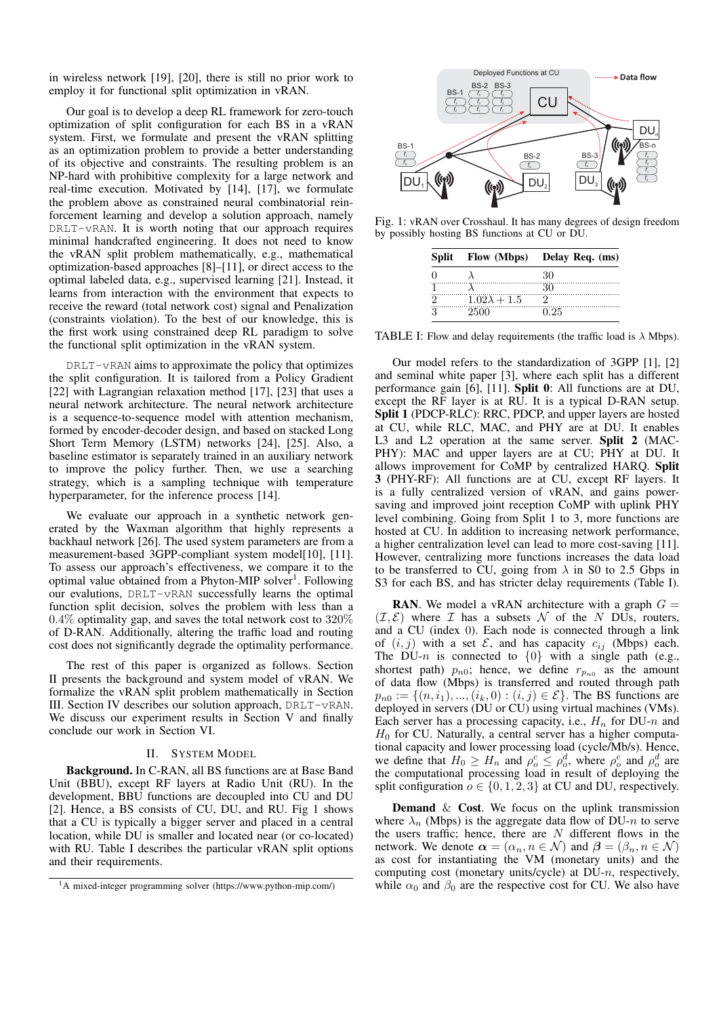in wireless network [19], [20], there is still no prior work to employ it for functional split optimization in vRAN.

Our goal is to develop a deep RL framework for zero-touch optimization of split configuration for each BS in a vRAN system. First, we formulate and present the vRAN splitting as an optimization problem to provide a better understanding of its objective and constraints. The resulting problem is an NP-hard with prohibitive complexity for a large network and real-time execution. Motivated by [14], [17], we formulate the problem above as constrained neural combinatorial reinforcement learning and develop a solution approach, namely DRLT-vRAN. It is worth noting that our approach requires minimal handcrafted engineering. It does not need to know the vRAN split problem mathematically, e.g., mathematical optimization-based approaches [8]–[11], or direct access to the optimal labeled data, e.g., supervised learning [21]. Instead, it learns from interaction with the environment that expects to receive the reward (total network cost) signal and Penalization (constraints violation). To the best of our knowledge, this is the first work using constrained deep RL paradigm to solve the functional split optimization in the vRAN system.

 $DRLT-vRAN$  aims to approximate the policy that optimizes the split configuration. It is tailored from a Policy Gradient [22] with Lagrangian relaxation method [17], [23] that uses a neural network architecture. The neural network architecture is a sequence-to-sequence model with attention mechanism, formed by encoder-decoder design, and based on stacked Long Short Term Memory (LSTM) networks [24], [25]. Also, a baseline estimator is separately trained in an auxiliary network to improve the policy further. Then, we use a searching strategy, which is a sampling technique with temperature hyperparameter, for the inference process [14].

We evaluate our approach in a synthetic network generated by the Waxman algorithm that highly represents a backhaul network [26]. The used system parameters are from a measurement-based 3GPP-compliant system model[10], [11]. To assess our approach's effectiveness, we compare it to the optimal value obtained from a Phyton-MIP solver<sup>1</sup>. Following our evalutions, DRLT-vRAN successfully learns the optimal function split decision, solves the problem with less than a  $0.4\%$  optimality gap, and saves the total network cost to  $320\%$ of D-RAN. Additionally, altering the traffic load and routing cost does not significantly degrade the optimality performance.

The rest of this paper is organized as follows. Section II presents the background and system model of vRAN. We formalize the vRAN split problem mathematically in Section III. Section IV describes our solution approach, DRLT-vRAN. We discuss our experiment results in Section V and finally conclude our work in Section VI.

## II. SYSTEM MODEL

Background. In C-RAN, all BS functions are at Base Band Unit (BBU), except RF layers at Radio Unit (RU). In the development, BBU functions are decoupled into CU and DU [2]. Hence, a BS consists of CU, DU, and RU. Fig 1 shows that a CU is typically a bigger server and placed in a central location, while DU is smaller and located near (or co-located) with RU. Table I describes the particular vRAN split options and their requirements.



Fig. 1: vRAN over Crosshaul. It has many degrees of design freedom by possibly hosting BS functions at CU or DU.

|                     | Split Flow (Mbps) Delay Req. (ms) |
|---------------------|-----------------------------------|
|                     | 30                                |
|                     |                                   |
| $1.02\lambda + 1.5$ |                                   |
|                     | J 25                              |

TABLE I: Flow and delay requirements (the traffic load is  $\lambda$  Mbps).

Our model refers to the standardization of 3GPP [1], [2] and seminal white paper [3], where each split has a different performance gain [6], [11]. Split 0: All functions are at DU, except the RF layer is at RU. It is a typical D-RAN setup. Split 1 (PDCP-RLC): RRC, PDCP, and upper layers are hosted at CU, while RLC, MAC, and PHY are at DU. It enables L3 and L2 operation at the same server. Split 2 (MAC-PHY): MAC and upper layers are at CU; PHY at DU. It allows improvement for CoMP by centralized HARQ. Split 3 (PHY-RF): All functions are at CU, except RF layers. It is a fully centralized version of vRAN, and gains powersaving and improved joint reception CoMP with uplink PHY level combining. Going from Split 1 to 3, more functions are hosted at CU. In addition to increasing network performance, a higher centralization level can lead to more cost-saving [11]. However, centralizing more functions increases the data load to be transferred to CU, going from  $\lambda$  in S0 to 2.5 Gbps in S3 for each BS, and has stricter delay requirements (Table I).

**RAN.** We model a vRAN architecture with a graph  $G =$  $(\mathcal{I}, \mathcal{E})$  where  $\mathcal I$  has a subsets  $\mathcal N$  of the N DUs, routers, and a CU (index 0). Each node is connected through a link of  $(i, j)$  with a set  $\mathcal{E}$ , and has capacity  $c_{ij}$  (Mbps) each. The DU-n is connected to  $\{0\}$  with a single path (e.g., shortest path)  $p_{n0}$ ; hence, we define  $r_{p_{n0}}$  as the amount of data flow (Mbps) is transferred and routed through path  $p_{n0} := \{(n, i_1), ..., (i_k, 0) : (i, j) \in \mathcal{E}\}\)$ . The BS functions are deployed in servers (DU or CU) using virtual machines (VMs). Each server has a processing capacity, i.e.,  $H_n$  for DU-n and  $H_0$  for CU. Naturally, a central server has a higher computational capacity and lower processing load (cycle/Mb/s). Hence, we define that  $H_0 \ge H_n$  and  $\rho_o^c \le \rho_o^d$ , where  $\rho_o^c$  and  $\rho_o^d$  are the computational processing load in result of deploying the split configuration  $o \in \{0, 1, 2, 3\}$  at CU and DU, respectively.

**Demand**  $\&$  **Cost**. We focus on the uplink transmission where  $\lambda_n$  (Mbps) is the aggregate data flow of DU-n to serve the users traffic; hence, there are  $N$  different flows in the network. We denote  $\alpha = (\alpha_n, n \in \mathcal{N})$  and  $\beta = (\beta_n, n \in \mathcal{N})$ as cost for instantiating the VM (monetary units) and the computing cost (monetary units/cycle) at DU-n, respectively, while  $\alpha_0$  and  $\beta_0$  are the respective cost for CU. We also have

<sup>1</sup>A mixed-integer programming solver (https://www.python-mip.com/)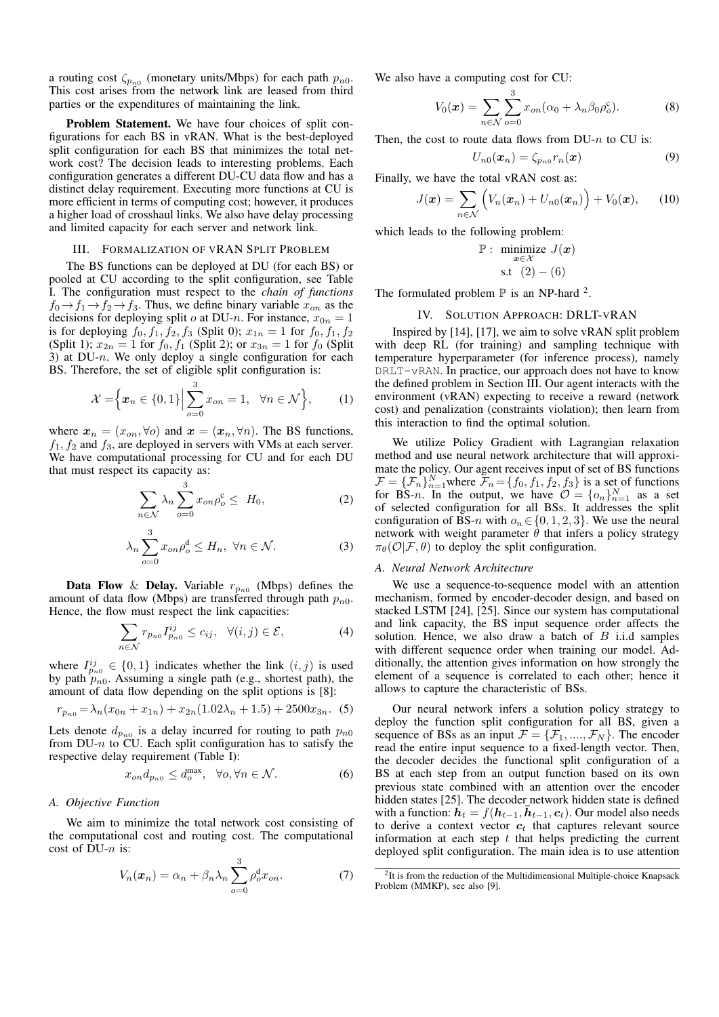a routing cost  $\zeta_{p_{n0}}$  (monetary units/Mbps) for each path  $p_{n0}$ . This cost arises from the network link are leased from third parties or the expenditures of maintaining the link.

Problem Statement. We have four choices of split configurations for each BS in vRAN. What is the best-deployed split configuration for each BS that minimizes the total network cost? The decision leads to interesting problems. Each configuration generates a different DU-CU data flow and has a distinct delay requirement. Executing more functions at CU is more efficient in terms of computing cost; however, it produces a higher load of crosshaul links. We also have delay processing and limited capacity for each server and network link.

#### III. FORMALIZATION OF VRAN SPLIT PROBLEM

The BS functions can be deployed at DU (for each BS) or pooled at CU according to the split configuration, see Table I. The configuration must respect to the *chain of functions*  $f_0 \rightarrow f_1 \rightarrow f_2 \rightarrow f_3$ . Thus, we define binary variable  $x_{on}$  as the decisions for deploying split  $o$  at DU-n. For instance,  $x_{0n} = 1$ is for deploying  $f_0, f_1, f_2, f_3$  (Split 0);  $x_{1n} = 1$  for  $f_0, f_1, f_2$ (Split 1);  $x_{2n} = 1$  for  $f_0, f_1$  (Split 2); or  $x_{3n} = 1$  for  $f_0$  (Split 3) at  $DU-n$ . We only deploy a single configuration for each BS. Therefore, the set of eligible split configuration is:

$$
\mathcal{X} = \left\{ \left. x_n \in \{0, 1\} \right| \sum_{o=0}^3 x_{on} = 1, \ \forall n \in \mathcal{N} \right\},\qquad(1)
$$

where  $x_n = (x_{on}, \forall o)$  and  $x = (x_n, \forall n)$ . The BS functions,  $f_1, f_2$  and  $f_3$ , are deployed in servers with VMs at each server. We have computational processing for CU and for each DU that must respect its capacity as:

$$
\sum_{n \in \mathcal{N}} \lambda_n \sum_{o=0}^{3} x_{on} \rho_o^c \le H_0,
$$
 (2)

$$
\lambda_n \sum_{o=0}^{3} x_{on} \rho_o^d \le H_n, \ \forall n \in \mathcal{N}.
$$
 (3)

**Data Flow** & **Delay.** Variable  $r_{p_{n0}}$  (Mbps) defines the amount of data flow (Mbps) are transferred through path  $p_{n0}$ . Hence, the flow must respect the link capacities:

$$
\sum_{n \in \mathcal{N}} r_{p_{n0}} I_{p_{n0}}^{ij} \le c_{ij}, \quad \forall (i, j) \in \mathcal{E}, \tag{4}
$$

where  $I_{p_{n0}}^{ij} \in \{0,1\}$  indicates whether the link  $(i, j)$  is used by path  $p_{n0}$ . Assuming a single path (e.g., shortest path), the amount of data flow depending on the split options is [8]:

$$
r_{p_{n0}} = \lambda_n (x_{0n} + x_{1n}) + x_{2n} (1.02\lambda_n + 1.5) + 2500 x_{3n}.
$$
 (5)

Lets denote  $d_{p_{n0}}$  is a delay incurred for routing to path  $p_{n0}$ from DU-n to  $CU$ . Each split configuration has to satisfy the respective delay requirement (Table I):

$$
x_{on}d_{p_{n0}} \le d_o^{\max}, \quad \forall o, \forall n \in \mathcal{N}.
$$
 (6)

#### *A. Objective Function*

We aim to minimize the total network cost consisting of the computational cost and routing cost. The computational cost of  $DU-n$  is:

$$
V_n(\boldsymbol{x}_n) = \alpha_n + \beta_n \lambda_n \sum_{o=0}^3 \rho_o^d x_{on}.
$$
 (7)

We also have a computing cost for CU:

$$
V_0(\boldsymbol{x}) = \sum_{n \in \mathcal{N}} \sum_{o=0}^3 x_{on} (\alpha_0 + \lambda_n \beta_0 \rho_o^c).
$$
 (8)

Then, the cost to route data flows from  $DU-n$  to CU is:

$$
U_{n0}(\boldsymbol{x}_n) = \zeta_{p_{n0}} r_n(\boldsymbol{x}) \tag{9}
$$

Finally, we have the total vRAN cost as:

$$
J(\boldsymbol{x}) = \sum_{n \in \mathcal{N}} \left( V_n(\boldsymbol{x}_n) + U_{n0}(\boldsymbol{x}_n) \right) + V_0(\boldsymbol{x}), \qquad (10)
$$

which leads to the following problem:

$$
\mathbb{P}: \underset{\mathbf{x} \in \mathcal{X}}{\text{minimize}} J(\mathbf{x})
$$
  
s.t  $(2) - (6)$ 

The formulated problem  $\mathbb P$  is an NP-hard <sup>2</sup>.

## IV. SOLUTION APPROACH: DRLT-VRAN

Inspired by [14], [17], we aim to solve vRAN split problem with deep RL (for training) and sampling technique with temperature hyperparameter (for inference process), namely DRLT-vRAN. In practice, our approach does not have to know the defined problem in Section III. Our agent interacts with the environment (vRAN) expecting to receive a reward (network cost) and penalization (constraints violation); then learn from this interaction to find the optimal solution.

We utilize Policy Gradient with Lagrangian relaxation method and use neural network architecture that will approximate the policy. Our agent receives input of set of BS functions  $\mathcal{F} = {\{\mathcal{F}_n\}}_{n=1}^N$  where  $\bar{\mathcal{F}}_n = {\{f_0, f_1, f_2, f_3\}}$  is a set of functions for BS-n. In the output, we have  $\mathcal{O} = \{o_n\}_{n=1}^N$  as a set of selected configuration for all BSs. It addresses the split configuration of BS-n with  $o_n \in \{0, 1, 2, 3\}$ . We use the neural network with weight parameter  $\hat{\theta}$  that infers a policy strategy  $\pi_{\theta}(\mathcal{O}|\mathcal{F}, \theta)$  to deploy the split configuration.

#### *A. Neural Network Architecture*

We use a sequence-to-sequence model with an attention mechanism, formed by encoder-decoder design, and based on stacked LSTM [24], [25]. Since our system has computational and link capacity, the BS input sequence order affects the solution. Hence, we also draw a batch of  $B$  i.i.d samples with different sequence order when training our model. Additionally, the attention gives information on how strongly the element of a sequence is correlated to each other; hence it allows to capture the characteristic of BSs.

Our neural network infers a solution policy strategy to deploy the function split configuration for all BS, given a sequence of BSs as an input  $\mathcal{F} = {\mathcal{F}_1, ..., \mathcal{F}_N}$ . The encoder read the entire input sequence to a fixed-length vector. Then, the decoder decides the functional split configuration of a BS at each step from an output function based on its own previous state combined with an attention over the encoder hidden states [25]. The decoder network hidden state is defined with a function:  $h_t = f(h_{t-1}, \bar{h}_{t-1}, c_t)$ . Our model also needs to derive a context vector  $c_t$  that captures relevant source information at each step  $t$  that helps predicting the current deployed split configuration. The main idea is to use attention

<sup>&</sup>lt;sup>2</sup>It is from the reduction of the Multidimensional Multiple-choice Knapsack Problem (MMKP), see also [9].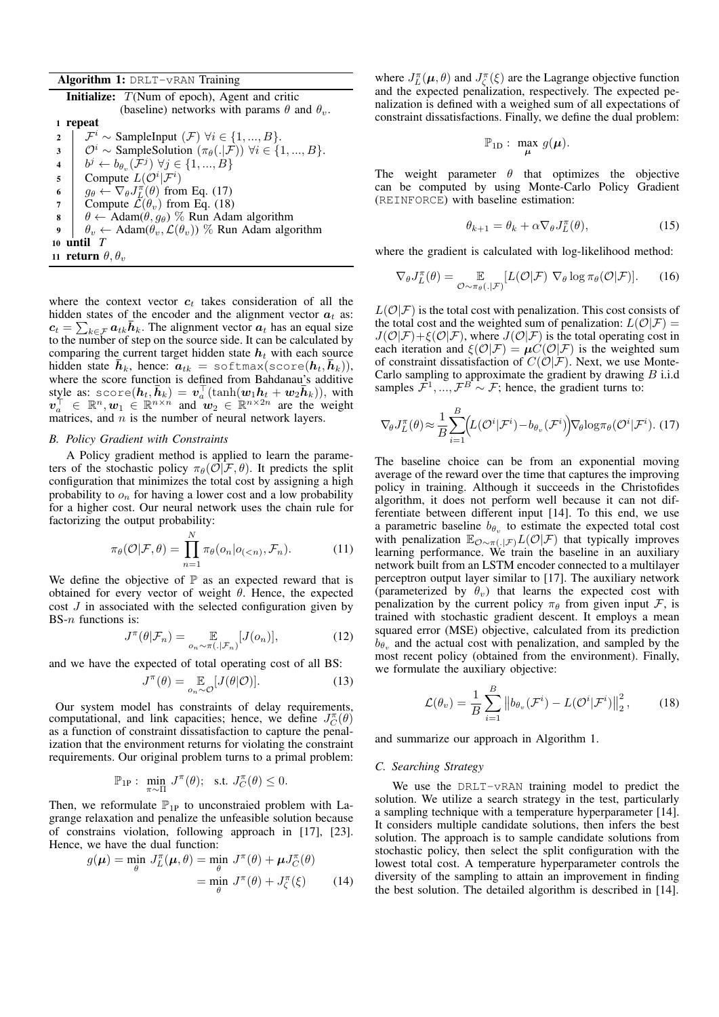|  |  | Algorithm 1: DRLT-VRAN Training |  |
|--|--|---------------------------------|--|
|--|--|---------------------------------|--|

| <b>Initialize:</b> $T(Num of epoch)$ , Agent and critic |                                                                                              |  |  |  |
|---------------------------------------------------------|----------------------------------------------------------------------------------------------|--|--|--|
|                                                         | (baseline) networks with params $\theta$ and $\theta_v$ .                                    |  |  |  |
| repeat<br>1                                             |                                                                                              |  |  |  |
| $\overline{2}$                                          | $\mathcal{F}^i$ ~ SampleInput $(\mathcal{F})$ $\forall i \in \{1, , B\}.$                    |  |  |  |
| $\overline{\mathbf{3}}$                                 | $\mathcal{O}^i$ ~ SampleSolution $(\pi_{\theta}(. \mathcal{F}))$ $\forall i \in \{1, , B\}.$ |  |  |  |
| $\overline{\mathbf{4}}$                                 | $b^j \leftarrow b_{\theta_n}(\mathcal{F}^j) \ \forall j \in \{1, , B\}$                      |  |  |  |
| 5                                                       | Compute $L(\mathcal{O}^i \mathcal{F}^i)$                                                     |  |  |  |
| 6                                                       | $g_{\theta} \leftarrow \nabla_{\theta} J_{L}^{\pi}(\theta)$ from Eq. (17)                    |  |  |  |
| 7                                                       | Compute $\overline{\mathcal{L}}(\theta_v)$ from Eq. (18)                                     |  |  |  |
| 8                                                       | $\theta \leftarrow \text{Adam}(\theta, g_{\theta})$ % Run Adam algorithm                     |  |  |  |
| $\boldsymbol{Q}$                                        | $\theta_v \leftarrow \text{Adam}(\theta_v, \mathcal{L}(\theta_v))$ % Run Adam algorithm      |  |  |  |
| 10 until                                                |                                                                                              |  |  |  |
|                                                         | 11 return $\theta, \theta_v$                                                                 |  |  |  |

where the context vector  $c_t$  takes consideration of all the hidden states of the encoder and the alignment vector  $a_t$  as:  $c_t = \sum_{k \in \mathcal{F}} a_{tk} \bar{h}_{k}$ . The alignment vector  $a_t$  has an equal size to the number of step on the source side. It can be calculated by comparing the current target hidden state  $h_t$  with each source hidden state  $\bar{h}_k$ , hence:  $a_{tk}$  = softmax(score $(h_t, \bar{h}_k)$ ), where the score function is defined from Bahdanau's additive style as:  $score(h_t, \bar{h}_k) = v_a^{\top}(\tanh(w_1 h_t + w_2 \bar{h}_k))$ , with  $\mathbf{v}_a^{\dagger} \in \mathbb{R}^n, \mathbf{w}_1 \in \mathbb{R}^{n \times n}$  and  $\mathbf{w}_2 \in \mathbb{R}^{n \times 2n}$  are the weight matrices, and  $n$  is the number of neural network layers.

#### *B. Policy Gradient with Constraints*

A Policy gradient method is applied to learn the parameters of the stochastic policy  $\pi_{\theta}(\mathcal{O}|\mathcal{F}, \theta)$ . It predicts the split configuration that minimizes the total cost by assigning a high probability to  $o_n$  for having a lower cost and a low probability for a higher cost. Our neural network uses the chain rule for factorizing the output probability:

$$
\pi_{\theta}(\mathcal{O}|\mathcal{F}, \theta) = \prod_{n=1}^{N} \pi_{\theta}(o_n|o_{( (11)
$$

We define the objective of  $\mathbb P$  as an expected reward that is obtained for every vector of weight  $\theta$ . Hence, the expected cost  $J$  in associated with the selected configuration given by BS- $n$  functions is:

$$
J^{\pi}(\theta|\mathcal{F}_n) = \mathop{\mathbb{E}}_{o_n \sim \pi(.|\mathcal{F}_n)}[J(o_n)],\tag{12}
$$

and we have the expected of total operating cost of all BS:

$$
J^{\pi}(\theta) = \mathop{\mathbb{E}}_{o_n \sim \mathcal{O}}[J(\theta|\mathcal{O})].
$$
 (13)

Our system model has constraints of delay requirements, computational, and link capacities; hence, we define  $J_C^{\pi}(\theta)$ as a function of constraint dissatisfaction to capture the penalization that the environment returns for violating the constraint requirements. Our original problem turns to a primal problem:

$$
\mathbb{P}_{1P}: \min_{\pi \sim \Pi} J^{\pi}(\theta); \text{ s.t. } J_C^{\pi}(\theta) \leq 0.
$$

Then, we reformulate  $\mathbb{P}_{1P}$  to unconstraied problem with Lagrange relaxation and penalize the unfeasible solution because of constrains violation, following approach in [17], [23]. Hence, we have the dual function:

$$
g(\boldsymbol{\mu}) = \min_{\theta} J_L^{\pi}(\boldsymbol{\mu}, \theta) = \min_{\theta} J^{\pi}(\theta) + \boldsymbol{\mu} J_C^{\pi}(\theta)
$$

$$
= \min_{\theta} J^{\pi}(\theta) + J_{\zeta}^{\pi}(\xi) \qquad (14)
$$

where  $J_L^{\pi}(\mu, \theta)$  and  $J_{\zeta}^{\pi}(\xi)$  are the Lagrange objective function and the expected penalization, respectively. The expected penalization is defined with a weighed sum of all expectations of constraint dissatisfactions. Finally, we define the dual problem:

$$
\mathbb{P}_{1D}: \ \max_{\mu} \ g(\mu).
$$

The weight parameter  $\theta$  that optimizes the objective can be computed by using Monte-Carlo Policy Gradient (REINFORCE) with baseline estimation:

$$
\theta_{k+1} = \theta_k + \alpha \nabla_{\theta} J_L^{\pi}(\theta), \qquad (15)
$$

where the gradient is calculated with log-likelihood method:

$$
\nabla_{\theta} J_L^{\pi}(\theta) = \mathop{\mathbb{E}}_{\mathcal{O} \sim \pi_{\theta}(.|\mathcal{F})} [L(\mathcal{O}|\mathcal{F}) \ \nabla_{\theta} \log \pi_{\theta}(\mathcal{O}|\mathcal{F})]. \tag{16}
$$

 $L(\mathcal{O}|\mathcal{F})$  is the total cost with penalization. This cost consists of the total cost and the weighted sum of penalization:  $L(\mathcal{O}|\mathcal{F}) =$  $J(\mathcal{O}|\mathcal{F})+\xi(\mathcal{O}|\mathcal{F})$ , where  $J(\mathcal{O}|\mathcal{F})$  is the total operating cost in each iteration and  $\xi(\mathcal{O}|\mathcal{F}) = \mu \dot{C}(\mathcal{O}|\mathcal{F})$  is the weighted sum of constraint dissatisfaction of  $C(\mathcal{O}|\mathcal{F})$ . Next, we use Monte-Carlo sampling to approximate the gradient by drawing  $B$  i.i.d samples  $\mathcal{F}^1, ..., \mathcal{F}^B \sim \mathcal{F}$ ; hence, the gradient turns to:

$$
\nabla_{\theta} J_L^{\pi}(\theta) \approx \frac{1}{B} \sum_{i=1}^{B} \Big( L(\mathcal{O}^i | \mathcal{F}^i) - b_{\theta_v}(\mathcal{F}^i) \Big) \nabla_{\theta} \log \pi_{\theta}(\mathcal{O}^i | \mathcal{F}^i). (17)
$$

The baseline choice can be from an exponential moving average of the reward over the time that captures the improving policy in training. Although it succeeds in the Christofides algorithm, it does not perform well because it can not differentiate between different input [14]. To this end, we use a parametric baseline  $b_{\theta_v}$  to estimate the expected total cost with penalization  $\mathbb{E}_{\mathcal{O}\sim\pi(.|\mathcal{F})}L(\mathcal{O}|\mathcal{F})$  that typically improves learning performance. We train the baseline in an auxiliary network built from an LSTM encoder connected to a multilayer perceptron output layer similar to [17]. The auxiliary network (parameterized by  $\theta_v$ ) that learns the expected cost with penalization by the current policy  $\pi_{\theta}$  from given input F, is trained with stochastic gradient descent. It employs a mean squared error (MSE) objective, calculated from its prediction  $b_{\theta_v}$  and the actual cost with penalization, and sampled by the most recent policy (obtained from the environment). Finally, we formulate the auxiliary objective:

$$
\mathcal{L}(\theta_v) = \frac{1}{B} \sum_{i=1}^{B} \left\| b_{\theta_v}(\mathcal{F}^i) - L(\mathcal{O}^i|\mathcal{F}^i) \right\|_2^2, \quad (18)
$$

and summarize our approach in Algorithm 1.

#### *C. Searching Strategy*

We use the DRLT-vRAN training model to predict the solution. We utilize a search strategy in the test, particularly a sampling technique with a temperature hyperparameter [14]. It considers multiple candidate solutions, then infers the best solution. The approach is to sample candidate solutions from stochastic policy, then select the split configuration with the lowest total cost. A temperature hyperparameter controls the diversity of the sampling to attain an improvement in finding the best solution. The detailed algorithm is described in [14].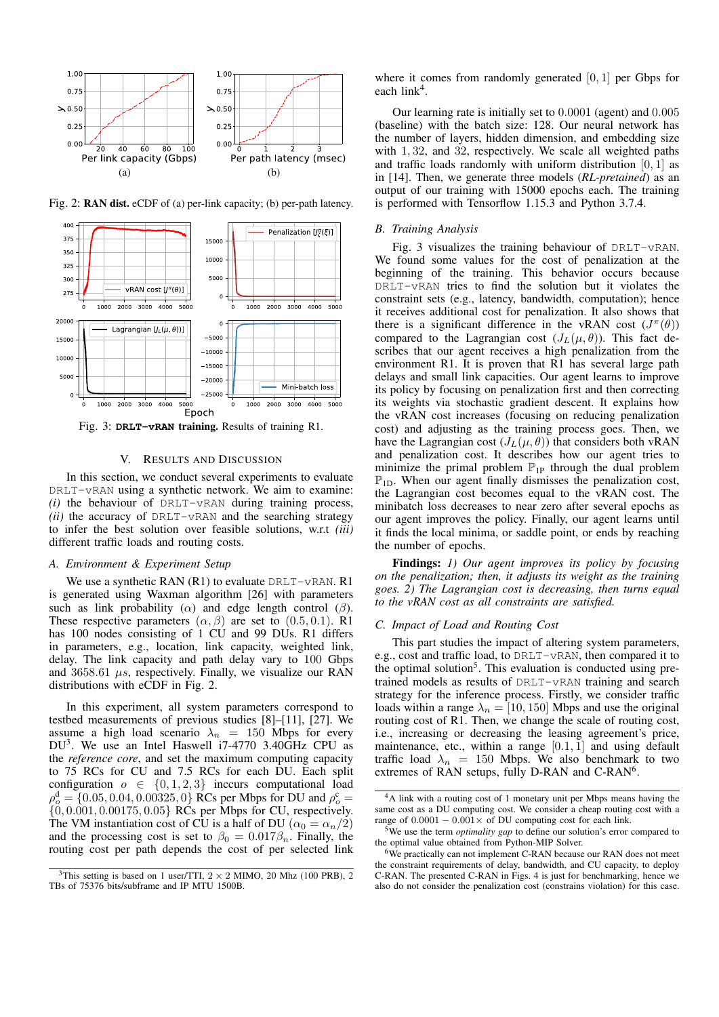

Fig. 2: RAN dist. eCDF of (a) per-link capacity; (b) per-path latency.



Fig. 3: **DRLT-vRAN** training. Results of training R1.

#### V. RESULTS AND DISCUSSION

In this section, we conduct several experiments to evaluate DRLT-vRAN using a synthetic network. We aim to examine: *(i)* the behaviour of DRLT-vRAN during training process, *(ii)* the accuracy of DRLT-vRAN and the searching strategy to infer the best solution over feasible solutions, w.r.t *(iii)* different traffic loads and routing costs.

## *A. Environment & Experiment Setup*

We use a synthetic RAN  $(R1)$  to evaluate DRLT-vRAN. R1 is generated using Waxman algorithm [26] with parameters such as link probability ( $\alpha$ ) and edge length control ( $\beta$ ). These respective parameters  $(\alpha, \beta)$  are set to  $(0.5, 0.1)$ . R1 has 100 nodes consisting of 1 CU and 99 DUs. R1 differs in parameters, e.g., location, link capacity, weighted link, delay. The link capacity and path delay vary to 100 Gbps and  $3658.61 \mu s$ , respectively. Finally, we visualize our RAN distributions with eCDF in Fig. 2.

In this experiment, all system parameters correspond to testbed measurements of previous studies [8]–[11], [27]. We assume a high load scenario  $\lambda_n = 150$  Mbps for every DU<sup>3</sup> . We use an Intel Haswell i7-4770 3.40GHz CPU as the *reference core*, and set the maximum computing capacity to 75 RCs for CU and 7.5 RCs for each DU. Each split configuration  $o \in \{0, 1, 2, 3\}$  inccurs computational load  $\rho_o^d = \{0.05, 0.04, 0.00325, 0\}$  RCs per Mbps for DU and  $\rho_o^c =$  $\{0, 0.001, 0.00175, 0.05\}$  RCs per Mbps for CU, respectively. The VM instantiation cost of CU is a half of DU ( $\alpha_0 = \alpha_n/2$ ) and the processing cost is set to  $\beta_0 = 0.017\beta_n$ . Finally, the routing cost per path depends the cost of per selected link

where it comes from randomly generated [0, 1] per Gbps for each  $link<sup>4</sup>$ .

Our learning rate is initially set to 0.0001 (agent) and 0.005 (baseline) with the batch size: 128. Our neural network has the number of layers, hidden dimension, and embedding size with 1, 32, and 32, respectively. We scale all weighted paths and traffic loads randomly with uniform distribution  $[0, 1]$  as in [14]. Then, we generate three models (*RL-pretained*) as an output of our training with 15000 epochs each. The training is performed with Tensorflow 1.15.3 and Python 3.7.4.

## *B. Training Analysis*

Fig. 3 visualizes the training behaviour of DRLT-vRAN. We found some values for the cost of penalization at the beginning of the training. This behavior occurs because DRLT-vRAN tries to find the solution but it violates the constraint sets (e.g., latency, bandwidth, computation); hence it receives additional cost for penalization. It also shows that there is a significant difference in the vRAN cost  $(J^{\pi}(\theta))$ compared to the Lagrangian cost  $(J_L(\mu, \theta))$ . This fact describes that our agent receives a high penalization from the environment R1. It is proven that R1 has several large path delays and small link capacities. Our agent learns to improve its policy by focusing on penalization first and then correcting its weights via stochastic gradient descent. It explains how the vRAN cost increases (focusing on reducing penalization cost) and adjusting as the training process goes. Then, we have the Lagrangian cost  $(J_L(\mu, \theta))$  that considers both vRAN and penalization cost. It describes how our agent tries to minimize the primal problem  $\mathbb{P}_{1}$  through the dual problem  $\mathbb{P}_{1D}$ . When our agent finally dismisses the penalization cost, the Lagrangian cost becomes equal to the vRAN cost. The minibatch loss decreases to near zero after several epochs as our agent improves the policy. Finally, our agent learns until it finds the local minima, or saddle point, or ends by reaching the number of epochs.

Findings: *1) Our agent improves its policy by focusing on the penalization; then, it adjusts its weight as the training goes. 2) The Lagrangian cost is decreasing, then turns equal to the vRAN cost as all constraints are satisfied.*

## *C. Impact of Load and Routing Cost*

This part studies the impact of altering system parameters, e.g., cost and traffic load, to DRLT-vRAN, then compared it to the optimal solution<sup>5</sup>. This evaluation is conducted using pretrained models as results of DRLT-vRAN training and search strategy for the inference process. Firstly, we consider traffic loads within a range  $\lambda_n = [10, 150]$  Mbps and use the original routing cost of R1. Then, we change the scale of routing cost, i.e., increasing or decreasing the leasing agreement's price, maintenance, etc., within a range  $[0.1, 1]$  and using default traffic load  $\lambda_n = 150$  Mbps. We also benchmark to two extremes of RAN setups, fully D-RAN and C-RAN<sup>6</sup>.

<sup>&</sup>lt;sup>3</sup>This setting is based on 1 user/TTI,  $2 \times 2$  MIMO, 20 Mhz (100 PRB), 2 TBs of 75376 bits/subframe and IP MTU 1500B.

<sup>&</sup>lt;sup>4</sup>A link with a routing cost of 1 monetary unit per Mbps means having the same cost as a DU computing cost. We consider a cheap routing cost with a range of  $0.0001 - 0.001 \times$  of DU computing cost for each link.

<sup>5</sup>We use the term *optimality gap* to define our solution's error compared to the optimal value obtained from Python-MIP Solver.

<sup>&</sup>lt;sup>6</sup>We practically can not implement C-RAN because our RAN does not meet the constraint requirements of delay, bandwidth, and CU capacity, to deploy C-RAN. The presented C-RAN in Figs. 4 is just for benchmarking, hence we also do not consider the penalization cost (constrains violation) for this case.